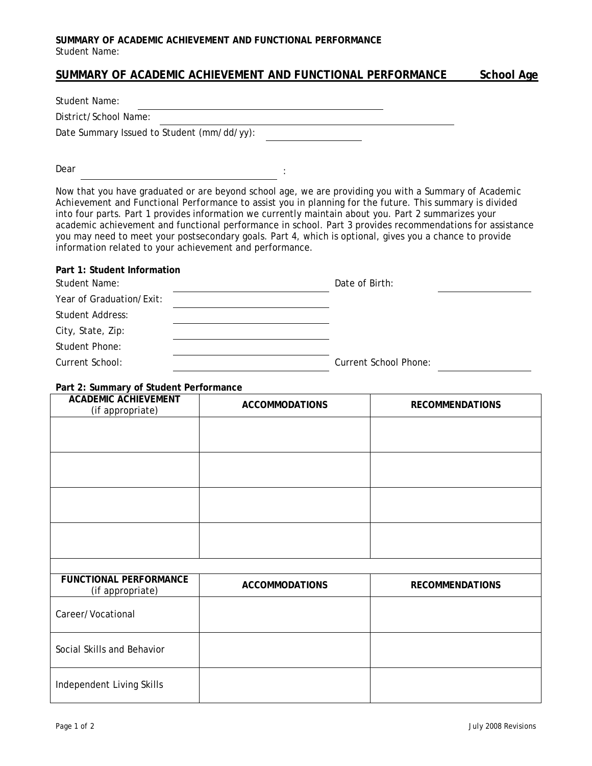## **SUMMARY OF ACADEMIC ACHIEVEMENT AND FUNCTIONAL PERFORMANCE**  Student Name:

# **SUMMARY OF ACADEMIC ACHIEVEMENT AND FUNCTIONAL PERFORMANCE School Age**

Student Name:

District/School Name:

**Part 1: Student Information** 

Date Summary Issued to Student (mm/dd/yy):

Dear is a set of the set of the set of the set of the set of the set of the set of the set of the set of the set of the set of the set of the set of the set of the set of the set of the set of the set of the set of the set

Now that you have graduated or are beyond school age, we are providing you with a *Summary of Academic Achievement and Functional Performance* to assist you in planning for the future. This summary is divided into four parts. Part 1 provides information we currently maintain about you. Part 2 summarizes your academic achievement and functional performance in school. Part 3 provides recommendations for assistance you may need to meet your postsecondary goals. Part 4, which is optional, gives you a chance to provide information related to your achievement and performance.

| Student Name:            | Date of Birth:               |
|--------------------------|------------------------------|
| Year of Graduation/Exit: |                              |
| Student Address:         |                              |
| City, State, Zip:        |                              |
| Student Phone:           |                              |
| Current School:          | <b>Current School Phone:</b> |

### **Part 2: Summary of Student Performance**

| <b>ACADEMIC ACHIEVEMENT</b><br>(if appropriate)   | <b>ACCOMMODATIONS</b> | <b>RECOMMENDATIONS</b> |
|---------------------------------------------------|-----------------------|------------------------|
|                                                   |                       |                        |
|                                                   |                       |                        |
|                                                   |                       |                        |
|                                                   |                       |                        |
|                                                   |                       |                        |
|                                                   |                       |                        |
| <b>FUNCTIONAL PERFORMANCE</b><br>(if appropriate) | <b>ACCOMMODATIONS</b> | <b>RECOMMENDATIONS</b> |
| Career/Vocational                                 |                       |                        |
| Social Skills and Behavior                        |                       |                        |
| Independent Living Skills                         |                       |                        |